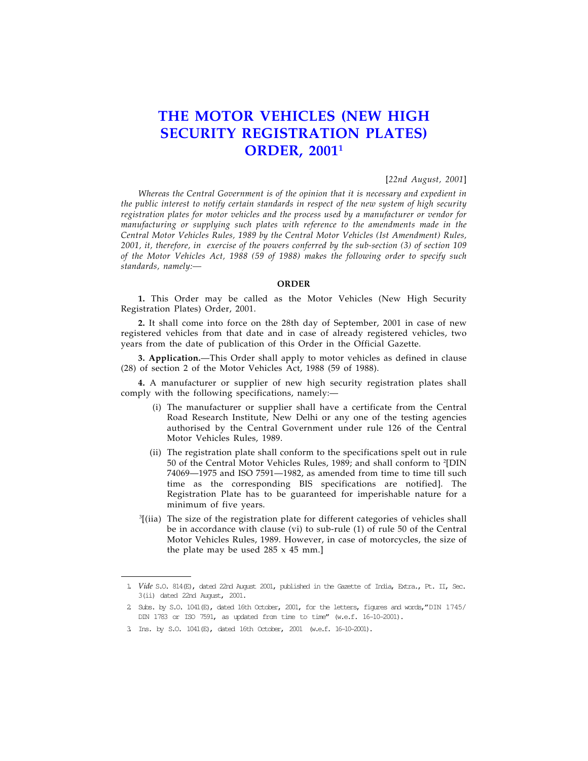## THE MOTOR VEHICLES (NEW HIGH SECURITY REGISTRATION PLATES) **ORDER, 20011**

## [22nd August, 2001]

Whereas the Central Government is of the opinion that it is necessary and expedient in the public interest to notify certain standards in respect of the new system of high security registration plates for motor vehicles and the process used by a manufacturer or vendor for manufacturing or supplying such plates with reference to the amendments made in the Central Motor Vehicles Rules, 1989 by the Central Motor Vehicles (Ist Amendment) Rules, 2001, it, therefore, in exercise of the powers conferred by the sub-section (3) of section 109 of the Motor Vehicles Act, 1988 (59 of 1988) makes the following order to specify such standards, namely:—

## ORDER

1. This Order may be called as the Motor Vehicles (New High Security Registration Plates) Order, 2001.

2. It shall come into force on the 28th day of September, 2001 in case of new registered vehicles from that date and in case of already registered vehicles, two years from the date of publication of this Order in the Official Gazette.

3. Application.—This Order shall apply to motor vehicles as defined in clause (28) of section 2 of the Motor Vehicles Act, 1988 (59 of 1988).

4. A manufacturer or supplier of new high security registration plates shall comply with the following specifications, namely:—

- (i) The manufacturer or supplier shall have a certificate from the Central Road Research Institute, New Delhi or any one of the testing agencies authorised by the Central Government under rule 126 of the Central Motor Vehicles Rules, 1989.
- (ii) The registration plate shall conform to the specifications spelt out in rule 50 of the Central Motor Vehicles Rules, 1989; and shall conform to <sup>2</sup> [DIN 74069—1975 and ISO 7591—1982, as amended from time to time till such time as the corresponding BIS specifications are notified]. The Registration Plate has to be guaranteed for imperishable nature for a minimum of five years.
- 3 [(iia) The size of the registration plate for different categories of vehicles shall be in accordance with clause (vi) to sub-rule (1) of rule 50 of the Central Motor Vehicles Rules, 1989. However, in case of motorcycles, the size of the plate may be used 285 x 45 mm.]

<sup>1.</sup> Vide S.O. 814(E), dated 22nd August 2001, published in the Gazette of India, Extra., Pt. II, Sec. 3(ii) dated 22nd August, 2001.

<sup>2.</sup> Subs. by S.O. 1041(E), dated 16th October, 2001, for the letters, figures and words,"DIN 1745/ DIN 1783 or ISO 7591, as updated from time to time" (w.e.f. 16-10-2001).

<sup>3.</sup> Ins. by S.O. 1041(E), dated 16th October, 2001 (w.e.f. 16-10-2001).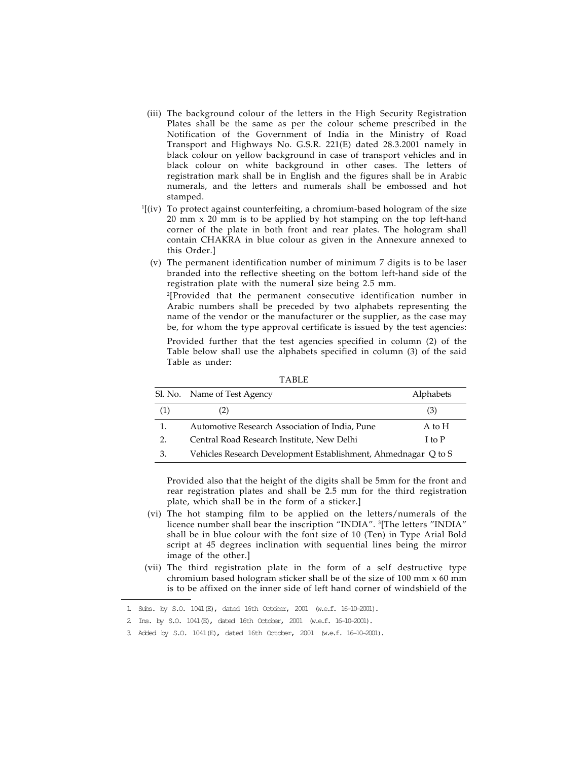- (iii) The background colour of the letters in the High Security Registration Plates shall be the same as per the colour scheme prescribed in the Notification of the Government of India in the Ministry of Road Transport and Highways No. G.S.R. 221(E) dated 28.3.2001 namely in black colour on yellow background in case of transport vehicles and in black colour on white background in other cases. The letters of registration mark shall be in English and the figures shall be in Arabic numerals, and the letters and numerals shall be embossed and hot stamped.
- 1 [(iv) To protect against counterfeiting, a chromium-based hologram of the size 20 mm x 20 mm is to be applied by hot stamping on the top left-hand corner of the plate in both front and rear plates. The hologram shall contain CHAKRA in blue colour as given in the Annexure annexed to this Order.]
	- (v) The permanent identification number of minimum 7 digits is to be laser branded into the reflective sheeting on the bottom left-hand side of the registration plate with the numeral size being 2.5 mm.

2 [Provided that the permanent consecutive identification number in Arabic numbers shall be preceded by two alphabets representing the name of the vendor or the manufacturer or the supplier, as the case may be, for whom the type approval certificate is issued by the test agencies:

Provided further that the test agencies specified in column (2) of the Table below shall use the alphabets specified in column (3) of the said Table as under:

|     | Sl. No. Name of Test Agency                                    | Alphabets |
|-----|----------------------------------------------------------------|-----------|
| (1) | (2)                                                            | (3)       |
| 1.  | Automotive Research Association of India, Pune                 | A to H    |
| 2.  | Central Road Research Institute, New Delhi                     | I to P    |
| 3.  | Vehicles Research Development Establishment, Ahmednagar Q to S |           |

TABLE

Provided also that the height of the digits shall be 5mm for the front and rear registration plates and shall be 2.5 mm for the third registration plate, which shall be in the form of a sticker.]

- (vi) The hot stamping film to be applied on the letters/numerals of the licence number shall bear the inscription "INDIA". <sup>3</sup> [The letters "INDIA" shall be in blue colour with the font size of 10 (Ten) in Type Arial Bold script at 45 degrees inclination with sequential lines being the mirror image of the other.]
- (vii) The third registration plate in the form of a self destructive type chromium based hologram sticker shall be of the size of 100 mm x 60 mm is to be affixed on the inner side of left hand corner of windshield of the

<sup>1.</sup> Subs. by S.O. 1041(E), dated 16th October, 2001 (w.e.f. 16-10-2001).

<sup>2.</sup> Ins. by S.O. 1041(E), dated 16th October, 2001 (w.e.f. 16-10-2001).

<sup>3.</sup> Added by S.O. 1041(E), dated 16th October, 2001 (w.e.f. 16-10-2001).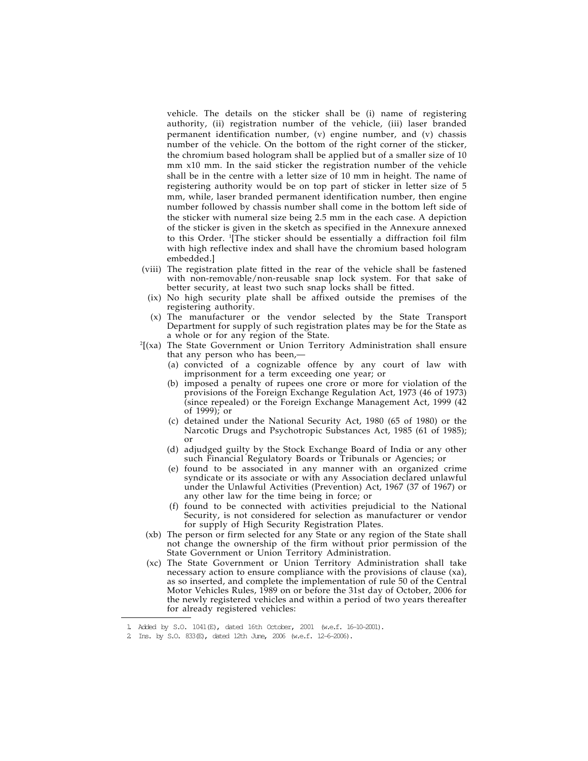vehicle. The details on the sticker shall be (i) name of registering authority, (ii) registration number of the vehicle, (iii) laser branded permanent identification number, (v) engine number, and (v) chassis number of the vehicle. On the bottom of the right corner of the sticker, the chromium based hologram shall be applied but of a smaller size of 10 mm x10 mm. In the said sticker the registration number of the vehicle shall be in the centre with a letter size of 10 mm in height. The name of registering authority would be on top part of sticker in letter size of 5 mm, while, laser branded permanent identification number, then engine number followed by chassis number shall come in the bottom left side of the sticker with numeral size being 2.5 mm in the each case. A depiction of the sticker is given in the sketch as specified in the Annexure annexed to this Order. <sup>1</sup> [The sticker should be essentially a diffraction foil film with high reflective index and shall have the chromium based hologram embedded.]

- (viii) The registration plate fitted in the rear of the vehicle shall be fastened with non-removable/non-reusable snap lock system. For that sake of better security, at least two such snap locks shall be fitted.
- (ix) No high security plate shall be affixed outside the premises of the registering authority.
- (x) The manufacturer or the vendor selected by the State Transport Department for supply of such registration plates may be for the State as a whole or for any region of the State.
- 2 [(xa) The State Government or Union Territory Administration shall ensure that any person who has been,—
	- (a) convicted of a cognizable offence by any court of law with imprisonment for a term exceeding one year; or
	- (b) imposed a penalty of rupees one crore or more for violation of the provisions of the Foreign Exchange Regulation Act, 1973 (46 of 1973) (since repealed) or the Foreign Exchange Management Act, 1999 (42 of 1999); or
	- (c) detained under the National Security Act, 1980 (65 of 1980) or the Narcotic Drugs and Psychotropic Substances Act, 1985 (61 of 1985); or
	- (d) adjudged guilty by the Stock Exchange Board of India or any other such Financial Regulatory Boards or Tribunals or Agencies; or
	- (e) found to be associated in any manner with an organized crime syndicate or its associate or with any Association declared unlawful under the Unlawful Activities (Prevention) Act, 1967 (37 of 1967) or any other law for the time being in force; or
	- (f) found to be connected with activities prejudicial to the National Security, is not considered for selection as manufacturer or vendor for supply of High Security Registration Plates.
- (xb) The person or firm selected for any State or any region of the State shall not change the ownership of the firm without prior permission of the State Government or Union Territory Administration.
- (xc) The State Government or Union Territory Administration shall take necessary action to ensure compliance with the provisions of clause (xa), as so inserted, and complete the implementation of rule 50 of the Central Motor Vehicles Rules, 1989 on or before the 31st day of October, 2006 for the newly registered vehicles and within a period of two years thereafter for already registered vehicles:

<sup>1.</sup> Added by S.O. 1041(E), dated 16th October, 2001 (w.e.f. 16-10-2001).

<sup>2.</sup> Ins. by S.O. 833(E), dated 12th June, 2006 (w.e.f. 12-6-2006).